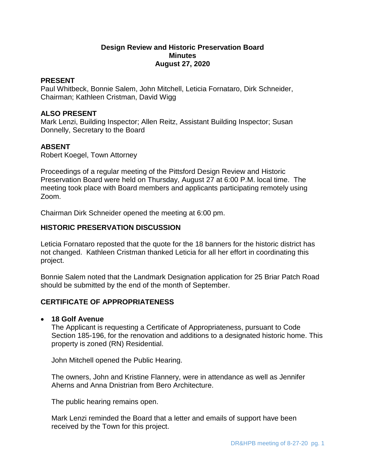# **Design Review and Historic Preservation Board Minutes August 27, 2020**

## **PRESENT**

Paul Whitbeck, Bonnie Salem, John Mitchell, Leticia Fornataro, Dirk Schneider, Chairman; Kathleen Cristman, David Wigg

## **ALSO PRESENT**

Mark Lenzi, Building Inspector; Allen Reitz, Assistant Building Inspector; Susan Donnelly, Secretary to the Board

# **ABSENT**

Robert Koegel, Town Attorney

Proceedings of a regular meeting of the Pittsford Design Review and Historic Preservation Board were held on Thursday, August 27 at 6:00 P.M. local time. The meeting took place with Board members and applicants participating remotely using Zoom.

Chairman Dirk Schneider opened the meeting at 6:00 pm.

# **HISTORIC PRESERVATION DISCUSSION**

Leticia Fornataro reposted that the quote for the 18 banners for the historic district has not changed. Kathleen Cristman thanked Leticia for all her effort in coordinating this project.

Bonnie Salem noted that the Landmark Designation application for 25 Briar Patch Road should be submitted by the end of the month of September.

# **CERTIFICATE OF APPROPRIATENESS**

### **18 Golf Avenue**

The Applicant is requesting a Certificate of Appropriateness, pursuant to Code Section 185-196, for the renovation and additions to a designated historic home. This property is zoned (RN) Residential.

John Mitchell opened the Public Hearing.

The owners, John and Kristine Flannery, were in attendance as well as Jennifer Aherns and Anna Dnistrian from Bero Architecture.

The public hearing remains open.

Mark Lenzi reminded the Board that a letter and emails of support have been received by the Town for this project.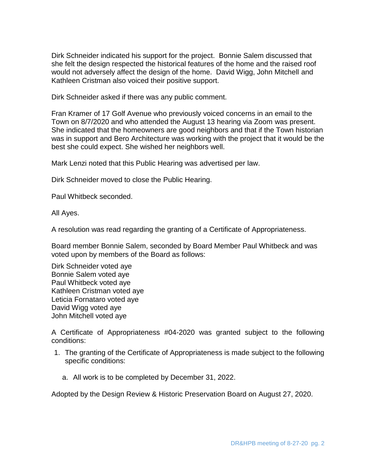Dirk Schneider indicated his support for the project. Bonnie Salem discussed that she felt the design respected the historical features of the home and the raised roof would not adversely affect the design of the home. David Wigg, John Mitchell and Kathleen Cristman also voiced their positive support.

Dirk Schneider asked if there was any public comment.

Fran Kramer of 17 Golf Avenue who previously voiced concerns in an email to the Town on 8/7/2020 and who attended the August 13 hearing via Zoom was present. She indicated that the homeowners are good neighbors and that if the Town historian was in support and Bero Architecture was working with the project that it would be the best she could expect. She wished her neighbors well.

Mark Lenzi noted that this Public Hearing was advertised per law.

Dirk Schneider moved to close the Public Hearing.

Paul Whitbeck seconded.

All Ayes.

A resolution was read regarding the granting of a Certificate of Appropriateness.

Board member Bonnie Salem, seconded by Board Member Paul Whitbeck and was voted upon by members of the Board as follows:

Dirk Schneider voted aye Bonnie Salem voted aye Paul Whitbeck voted aye Kathleen Cristman voted aye Leticia Fornataro voted aye David Wigg voted aye John Mitchell voted aye

A Certificate of Appropriateness #04-2020 was granted subject to the following conditions:

- 1. The granting of the Certificate of Appropriateness is made subject to the following specific conditions:
	- a. All work is to be completed by December 31, 2022.

Adopted by the Design Review & Historic Preservation Board on August 27, 2020.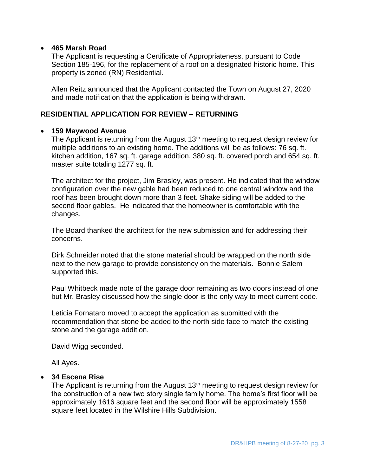## **465 Marsh Road**

The Applicant is requesting a Certificate of Appropriateness, pursuant to Code Section 185-196, for the replacement of a roof on a designated historic home. This property is zoned (RN) Residential.

Allen Reitz announced that the Applicant contacted the Town on August 27, 2020 and made notification that the application is being withdrawn.

# **RESIDENTIAL APPLICATION FOR REVIEW – RETURNING**

## **159 Maywood Avenue**

The Applicant is returning from the August  $13<sup>th</sup>$  meeting to request design review for multiple additions to an existing home. The additions will be as follows: 76 sq. ft. kitchen addition, 167 sq. ft. garage addition, 380 sq. ft. covered porch and 654 sq. ft. master suite totaling 1277 sq. ft.

The architect for the project, Jim Brasley, was present. He indicated that the window configuration over the new gable had been reduced to one central window and the roof has been brought down more than 3 feet. Shake siding will be added to the second floor gables. He indicated that the homeowner is comfortable with the changes.

The Board thanked the architect for the new submission and for addressing their concerns.

Dirk Schneider noted that the stone material should be wrapped on the north side next to the new garage to provide consistency on the materials. Bonnie Salem supported this.

Paul Whitbeck made note of the garage door remaining as two doors instead of one but Mr. Brasley discussed how the single door is the only way to meet current code.

Leticia Fornataro moved to accept the application as submitted with the recommendation that stone be added to the north side face to match the existing stone and the garage addition.

David Wigg seconded.

All Ayes.

# **34 Escena Rise**

The Applicant is returning from the August  $13<sup>th</sup>$  meeting to request design review for the construction of a new two story single family home. The home's first floor will be approximately 1616 square feet and the second floor will be approximately 1558 square feet located in the Wilshire Hills Subdivision.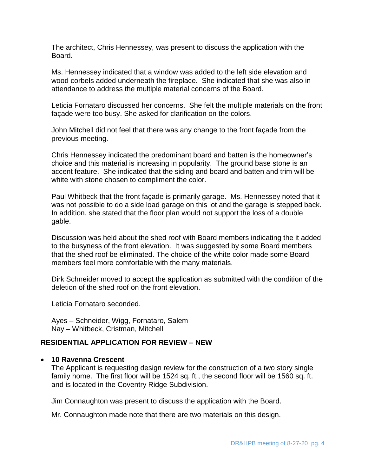The architect, Chris Hennessey, was present to discuss the application with the Board.

Ms. Hennessey indicated that a window was added to the left side elevation and wood corbels added underneath the fireplace. She indicated that she was also in attendance to address the multiple material concerns of the Board.

Leticia Fornataro discussed her concerns. She felt the multiple materials on the front façade were too busy. She asked for clarification on the colors.

John Mitchell did not feel that there was any change to the front façade from the previous meeting.

Chris Hennessey indicated the predominant board and batten is the homeowner's choice and this material is increasing in popularity. The ground base stone is an accent feature. She indicated that the siding and board and batten and trim will be white with stone chosen to compliment the color.

Paul Whitbeck that the front façade is primarily garage. Ms. Hennessey noted that it was not possible to do a side load garage on this lot and the garage is stepped back. In addition, she stated that the floor plan would not support the loss of a double gable.

Discussion was held about the shed roof with Board members indicating the it added to the busyness of the front elevation. It was suggested by some Board members that the shed roof be eliminated. The choice of the white color made some Board members feel more comfortable with the many materials.

Dirk Schneider moved to accept the application as submitted with the condition of the deletion of the shed roof on the front elevation.

Leticia Fornataro seconded.

Ayes – Schneider, Wigg, Fornataro, Salem Nay – Whitbeck, Cristman, Mitchell

# **RESIDENTIAL APPLICATION FOR REVIEW – NEW**

### **10 Ravenna Crescent**

The Applicant is requesting design review for the construction of a two story single family home. The first floor will be 1524 sq. ft., the second floor will be 1560 sq. ft. and is located in the Coventry Ridge Subdivision.

Jim Connaughton was present to discuss the application with the Board.

Mr. Connaughton made note that there are two materials on this design.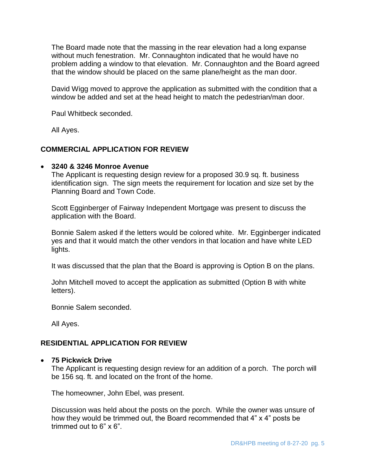The Board made note that the massing in the rear elevation had a long expanse without much fenestration. Mr. Connaughton indicated that he would have no problem adding a window to that elevation. Mr. Connaughton and the Board agreed that the window should be placed on the same plane/height as the man door.

David Wigg moved to approve the application as submitted with the condition that a window be added and set at the head height to match the pedestrian/man door.

Paul Whitbeck seconded.

All Ayes.

# **COMMERCIAL APPLICATION FOR REVIEW**

## **3240 & 3246 Monroe Avenue**

The Applicant is requesting design review for a proposed 30.9 sq. ft. business identification sign. The sign meets the requirement for location and size set by the Planning Board and Town Code.

Scott Egginberger of Fairway Independent Mortgage was present to discuss the application with the Board.

Bonnie Salem asked if the letters would be colored white. Mr. Egginberger indicated yes and that it would match the other vendors in that location and have white LED lights.

It was discussed that the plan that the Board is approving is Option B on the plans.

John Mitchell moved to accept the application as submitted (Option B with white letters).

Bonnie Salem seconded.

All Ayes.

# **RESIDENTIAL APPLICATION FOR REVIEW**

### **75 Pickwick Drive**

The Applicant is requesting design review for an addition of a porch. The porch will be 156 sq. ft. and located on the front of the home.

The homeowner, John Ebel, was present.

Discussion was held about the posts on the porch. While the owner was unsure of how they would be trimmed out, the Board recommended that 4" x 4" posts be trimmed out to 6" x 6".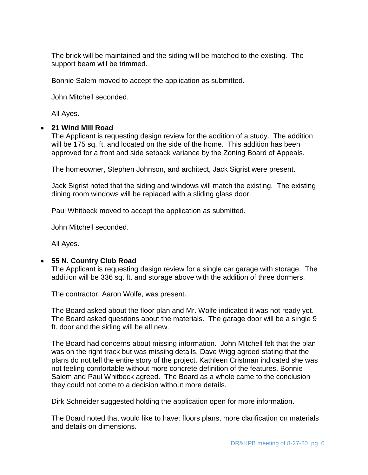The brick will be maintained and the siding will be matched to the existing. The support beam will be trimmed.

Bonnie Salem moved to accept the application as submitted.

John Mitchell seconded.

All Ayes.

## **21 Wind Mill Road**

The Applicant is requesting design review for the addition of a study. The addition will be 175 sq. ft. and located on the side of the home. This addition has been approved for a front and side setback variance by the Zoning Board of Appeals.

The homeowner, Stephen Johnson, and architect, Jack Sigrist were present.

Jack Sigrist noted that the siding and windows will match the existing. The existing dining room windows will be replaced with a sliding glass door.

Paul Whitbeck moved to accept the application as submitted.

John Mitchell seconded.

All Ayes.

# **55 N. Country Club Road**

The Applicant is requesting design review for a single car garage with storage. The addition will be 336 sq. ft. and storage above with the addition of three dormers.

The contractor, Aaron Wolfe, was present.

The Board asked about the floor plan and Mr. Wolfe indicated it was not ready yet. The Board asked questions about the materials. The garage door will be a single 9 ft. door and the siding will be all new.

The Board had concerns about missing information. John Mitchell felt that the plan was on the right track but was missing details. Dave Wigg agreed stating that the plans do not tell the entire story of the project. Kathleen Cristman indicated she was not feeling comfortable without more concrete definition of the features. Bonnie Salem and Paul Whitbeck agreed. The Board as a whole came to the conclusion they could not come to a decision without more details.

Dirk Schneider suggested holding the application open for more information.

The Board noted that would like to have: floors plans, more clarification on materials and details on dimensions.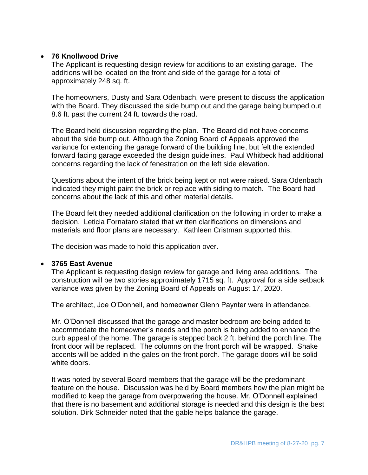# **76 Knollwood Drive**

The Applicant is requesting design review for additions to an existing garage. The additions will be located on the front and side of the garage for a total of approximately 248 sq. ft.

The homeowners, Dusty and Sara Odenbach, were present to discuss the application with the Board. They discussed the side bump out and the garage being bumped out 8.6 ft. past the current 24 ft. towards the road.

The Board held discussion regarding the plan. The Board did not have concerns about the side bump out. Although the Zoning Board of Appeals approved the variance for extending the garage forward of the building line, but felt the extended forward facing garage exceeded the design guidelines. Paul Whitbeck had additional concerns regarding the lack of fenestration on the left side elevation.

Questions about the intent of the brick being kept or not were raised. Sara Odenbach indicated they might paint the brick or replace with siding to match. The Board had concerns about the lack of this and other material details.

The Board felt they needed additional clarification on the following in order to make a decision. Leticia Fornataro stated that written clarifications on dimensions and materials and floor plans are necessary. Kathleen Cristman supported this.

The decision was made to hold this application over.

# **3765 East Avenue**

The Applicant is requesting design review for garage and living area additions. The construction will be two stories approximately 1715 sq. ft. Approval for a side setback variance was given by the Zoning Board of Appeals on August 17, 2020.

The architect, Joe O'Donnell, and homeowner Glenn Paynter were in attendance.

Mr. O'Donnell discussed that the garage and master bedroom are being added to accommodate the homeowner's needs and the porch is being added to enhance the curb appeal of the home. The garage is stepped back 2 ft. behind the porch line. The front door will be replaced. The columns on the front porch will be wrapped. Shake accents will be added in the gales on the front porch. The garage doors will be solid white doors.

It was noted by several Board members that the garage will be the predominant feature on the house. Discussion was held by Board members how the plan might be modified to keep the garage from overpowering the house. Mr. O'Donnell explained that there is no basement and additional storage is needed and this design is the best solution. Dirk Schneider noted that the gable helps balance the garage.